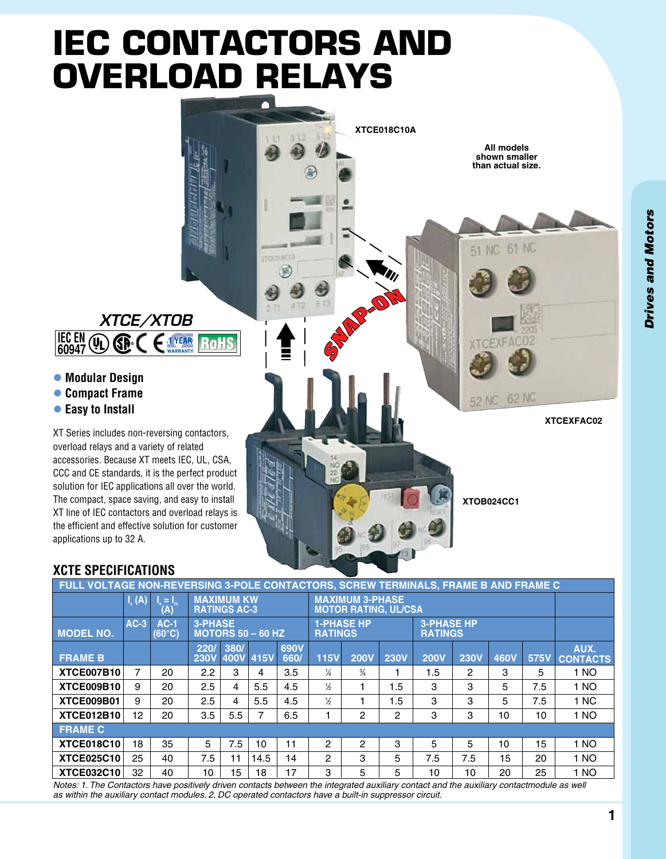# **IEC Contactors and Overload Relays**



#### **XCTE Specifications**

applications up to 32 A.

l **Modular Design** l **Compact Frame** l **Easy to Install**

 $\mathbb{G}$   $\mathbb{R}$ 

**IEC EN 60947**

| FULL VOLTAGE NON-REVERSING 3-POLE CONTACTORS, SCREW TERMINALS, FRAME B AND FRAME C |                               |                                                                              |                                            |      |           |                                                                            |                |               |                |             |                |      |      |                         |
|------------------------------------------------------------------------------------|-------------------------------|------------------------------------------------------------------------------|--------------------------------------------|------|-----------|----------------------------------------------------------------------------|----------------|---------------|----------------|-------------|----------------|------|------|-------------------------|
|                                                                                    | $I_{\scriptscriptstyle R}(A)$ | $\mathsf{I}_{\scriptscriptstyle{B}}=\mathsf{I}_{\scriptscriptstyle{B}}$<br>A | <b>MAXIMUM KW</b><br><b>RATINGS AC-3</b>   |      |           | <b>MAXIMUM 3-PHASE</b><br><b>MOTOR RATING, UL/CSA</b>                      |                |               |                |             |                |      |      |                         |
| <b>MODEL NO.</b>                                                                   | $AC-3$                        | $AC-1$<br>$(60^{\circ}C)$                                                    | <b>3-PHASE</b><br><b>MOTORS 50 - 60 HZ</b> |      |           | <b>1-PHASE HP</b><br><b>3-PHASE HP</b><br><b>RATINGS</b><br><b>RATINGS</b> |                |               |                |             |                |      |      |                         |
| <b>FRAME B</b>                                                                     |                               |                                                                              | 220/<br><b>230V</b>                        | 380/ | 400V 415V | 690V<br>660/                                                               | <b>115V</b>    | <b>200V</b>   | <b>230V</b>    | <b>200V</b> | <b>230V</b>    | 460V | 575V | AUX.<br><b>CONTACTS</b> |
| <b>XTCE007B10</b>                                                                  | 7                             | 20                                                                           | 2.2                                        | 3    | 4         | 3.5                                                                        | $\frac{1}{4}$  | $\frac{3}{4}$ |                | 1.5         | $\overline{2}$ | 3    | 5    | 1 NO                    |
| <b>XTCE009B10</b>                                                                  | 9                             | 20                                                                           | 2.5                                        | 4    | 5.5       | 4.5                                                                        | $\frac{1}{2}$  |               | 1.5            | 3           | 3              | 5    | 7.5  | 1 NO                    |
| XTCE009B01                                                                         | 9                             | 20                                                                           | 2.5                                        | 4    | 5.5       | 4.5                                                                        | $\frac{1}{2}$  |               | 1.5            | 3           | 3              | 5    | 7.5  | 1 NC                    |
| <b>XTCE012B10</b>                                                                  | 12                            | 20                                                                           | 3.5                                        | 5.5  |           | 6.5                                                                        |                | 2             | $\overline{c}$ | 3           | 3              | 10   | 10   | 1 NO                    |
| <b>FRAME C</b>                                                                     |                               |                                                                              |                                            |      |           |                                                                            |                |               |                |             |                |      |      |                         |
| <b>XTCE018C10</b>                                                                  | 18                            | 35                                                                           | 5                                          | 7.5  | 10        | 11                                                                         | 2              | 2             | 3              | 5           | 5              | 10   | 15   | 1 NO                    |
| <b>XTCE025C10</b>                                                                  | 25                            | 40                                                                           | 7.5                                        | 11   | 14.5      | 14                                                                         | $\overline{2}$ | 3             | 5              | 7.5         | 7.5            | 15   | 20   | 1 NO                    |
| <b>XTCE032C10</b>                                                                  | 32                            | 40                                                                           | 10                                         | 15   | 18        | 17                                                                         | 3              | 5             | 5              | 10          | 10             | 20   | 25   | 1 NO                    |

*Notes: 1. The Contactors have positively driven contacts between the integrated auxiliary contact and the auxiliary contactmodule as well as within the auxiliary contact modules. 2. DC operated contactors have a built-in suppressor circuit.*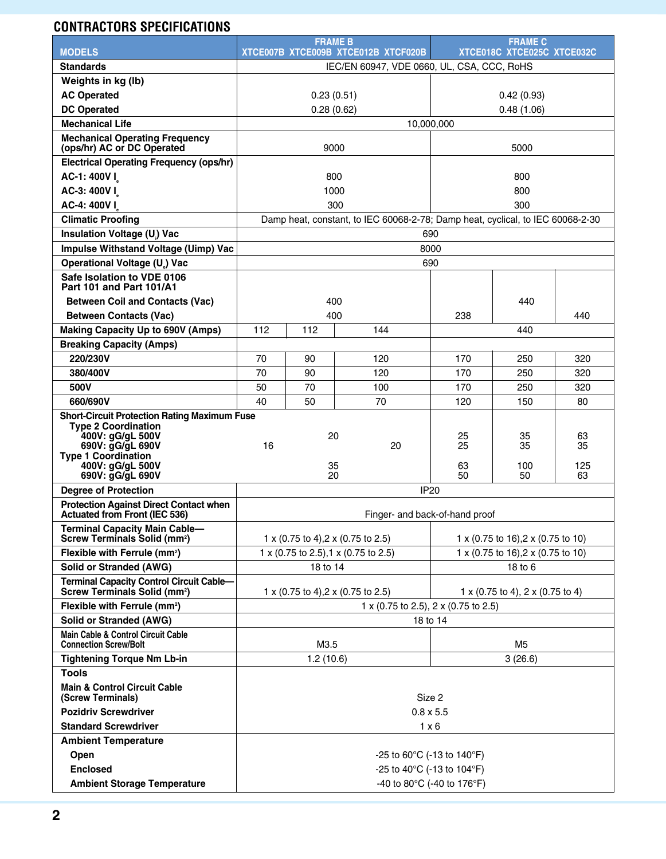## **Contractors Specifications**

|                                                                                                                                                                                                 |                                                  | <b>FRAME B</b> |                                                                                |                                    | <b>FRAME C</b>        |                       |  |  |
|-------------------------------------------------------------------------------------------------------------------------------------------------------------------------------------------------|--------------------------------------------------|----------------|--------------------------------------------------------------------------------|------------------------------------|-----------------------|-----------------------|--|--|
| <b>MODELS</b>                                                                                                                                                                                   |                                                  |                | XTCE007B XTCE009B XTCE012B XTCF020B                                            | XTCE018C XTCE025C XTCE032C         |                       |                       |  |  |
| <b>Standards</b>                                                                                                                                                                                | IEC/EN 60947, VDE 0660, UL, CSA, CCC, RoHS       |                |                                                                                |                                    |                       |                       |  |  |
| Weights in kg (lb)<br><b>AC Operated</b>                                                                                                                                                        | 0.23(0.51)                                       |                |                                                                                |                                    |                       |                       |  |  |
|                                                                                                                                                                                                 |                                                  |                |                                                                                |                                    | 0.42(0.93)            |                       |  |  |
| <b>DC Operated</b>                                                                                                                                                                              | 0.28(0.62)<br>0.48(1.06)                         |                |                                                                                |                                    |                       |                       |  |  |
| <b>Mechanical Life</b><br><b>Mechanical Operating Frequency</b>                                                                                                                                 | 10,000,000                                       |                |                                                                                |                                    |                       |                       |  |  |
| (ops/hr) AC or DC Operated                                                                                                                                                                      |                                                  | 9000           |                                                                                | 5000                               |                       |                       |  |  |
| <b>Electrical Operating Frequency (ops/hr)</b>                                                                                                                                                  |                                                  |                |                                                                                |                                    |                       |                       |  |  |
| AC-1: 400V I                                                                                                                                                                                    |                                                  | 800            |                                                                                | 800                                |                       |                       |  |  |
| AC-3: 400VI                                                                                                                                                                                     |                                                  | 1000           |                                                                                | 800                                |                       |                       |  |  |
| AC-4: 400VI                                                                                                                                                                                     |                                                  |                | 300                                                                            | 300                                |                       |                       |  |  |
| <b>Climatic Proofing</b>                                                                                                                                                                        |                                                  |                | Damp heat, constant, to IEC 60068-2-78; Damp heat, cyclical, to IEC 60068-2-30 |                                    |                       |                       |  |  |
| Insulation Voltage (U) Vac                                                                                                                                                                      |                                                  |                |                                                                                | 690                                |                       |                       |  |  |
| Impulse Withstand Voltage (Uimp) Vac                                                                                                                                                            |                                                  |                |                                                                                | 8000                               |                       |                       |  |  |
| Operational Voltage (U) Vac                                                                                                                                                                     |                                                  |                |                                                                                | 690                                |                       |                       |  |  |
| Safe Isolation to VDE 0106<br>Part 101 and Part 101/A1                                                                                                                                          |                                                  |                |                                                                                |                                    |                       |                       |  |  |
| <b>Between Coil and Contacts (Vac)</b>                                                                                                                                                          |                                                  | 400            |                                                                                |                                    | 440                   |                       |  |  |
| <b>Between Contacts (Vac)</b>                                                                                                                                                                   |                                                  | 400            |                                                                                | 238                                |                       | 440                   |  |  |
| <b>Making Capacity Up to 690V (Amps)</b>                                                                                                                                                        | 112                                              | 112            | 144                                                                            |                                    | 440                   |                       |  |  |
| <b>Breaking Capacity (Amps)</b>                                                                                                                                                                 |                                                  |                |                                                                                |                                    |                       |                       |  |  |
| 220/230V                                                                                                                                                                                        | 70                                               | 90             | 120                                                                            | 170                                | 250                   | 320                   |  |  |
| 380/400V                                                                                                                                                                                        | 70                                               | 90             | 120                                                                            | 170                                | 250                   | 320                   |  |  |
| 500V                                                                                                                                                                                            | 50                                               | 70             | 100                                                                            | 170                                | 250                   | 320                   |  |  |
| 660/690V                                                                                                                                                                                        | 40                                               | 50             | 70                                                                             | 120                                | 150                   | 80                    |  |  |
| <b>Short-Circuit Protection Rating Maximum Fuse</b><br><b>Type 2 Coordination</b><br>400V: gG/gL 500V<br>690V: gG/gL 690V<br><b>Type 1 Coordination</b><br>400V: gG/gL 500V<br>690V: gG/gL 690V | 16                                               | 20<br>35<br>20 | 20                                                                             | 25<br>25<br>63<br>50               | 35<br>35<br>100<br>50 | 63<br>35<br>125<br>63 |  |  |
| <b>Degree of Protection</b>                                                                                                                                                                     |                                                  |                | <b>IP20</b>                                                                    |                                    |                       |                       |  |  |
| <b>Protection Against Direct Contact when</b>                                                                                                                                                   |                                                  |                |                                                                                |                                    |                       |                       |  |  |
| Actuated from Front (IEC 536)                                                                                                                                                                   | Finger- and back-of-hand proof                   |                |                                                                                |                                    |                       |                       |  |  |
| <b>Terminal Capacity Main Cable-</b><br>Screw Terminals Solid (mm <sup>2</sup> )                                                                                                                | 1 x (0.75 to 4), 2 x (0.75 to 2.5)               |                |                                                                                | 1 x (0.75 to 16), 2 x (0.75 to 10) |                       |                       |  |  |
| Flexible with Ferrule (mm <sup>2</sup> )                                                                                                                                                        | 1 x (0.75 to 2.5), 1 x (0.75 to 2.5)             |                |                                                                                | 1 x (0.75 to 16), 2 x (0.75 to 10) |                       |                       |  |  |
| Solid or Stranded (AWG)                                                                                                                                                                         | 18 to 14                                         |                |                                                                                | 18 to 6                            |                       |                       |  |  |
| <b>Terminal Capacity Control Circuit Cable-</b><br><b>Screw Terminals Solid (mm<sup>2</sup>)</b>                                                                                                |                                                  |                | 1 x (0.75 to 4), 2 x (0.75 to 2.5)                                             | 1 x (0.75 to 4), 2 x (0.75 to 4)   |                       |                       |  |  |
| Flexible with Ferrule (mm <sup>2</sup> )                                                                                                                                                        | 1 x (0.75 to 2.5), 2 x (0.75 to 2.5)             |                |                                                                                |                                    |                       |                       |  |  |
| <b>Solid or Stranded (AWG)</b>                                                                                                                                                                  | 18 to 14                                         |                |                                                                                |                                    |                       |                       |  |  |
| Main Cable & Control Circuit Cable<br><b>Connection Screw/Bolt</b>                                                                                                                              |                                                  | M3.5           |                                                                                | M <sub>5</sub>                     |                       |                       |  |  |
| <b>Tightening Torque Nm Lb-in</b>                                                                                                                                                               |                                                  | 1.2(10.6)      |                                                                                | 3(26.6)                            |                       |                       |  |  |
| <b>Tools</b>                                                                                                                                                                                    |                                                  |                |                                                                                |                                    |                       |                       |  |  |
| <b>Main &amp; Control Circuit Cable</b><br>(Screw Terminals)                                                                                                                                    | Size 2                                           |                |                                                                                |                                    |                       |                       |  |  |
| <b>Pozidriv Screwdriver</b>                                                                                                                                                                     | $0.8 \times 5.5$                                 |                |                                                                                |                                    |                       |                       |  |  |
| <b>Standard Screwdriver</b>                                                                                                                                                                     | $1 \times 6$                                     |                |                                                                                |                                    |                       |                       |  |  |
| <b>Ambient Temperature</b>                                                                                                                                                                      |                                                  |                |                                                                                |                                    |                       |                       |  |  |
| Open                                                                                                                                                                                            | -25 to 60 $^{\circ}$ C (-13 to 140 $^{\circ}$ F) |                |                                                                                |                                    |                       |                       |  |  |
| <b>Enclosed</b>                                                                                                                                                                                 | -25 to 40 $^{\circ}$ C (-13 to 104 $^{\circ}$ F) |                |                                                                                |                                    |                       |                       |  |  |
| <b>Ambient Storage Temperature</b>                                                                                                                                                              | -40 to 80°C (-40 to 176°F)                       |                |                                                                                |                                    |                       |                       |  |  |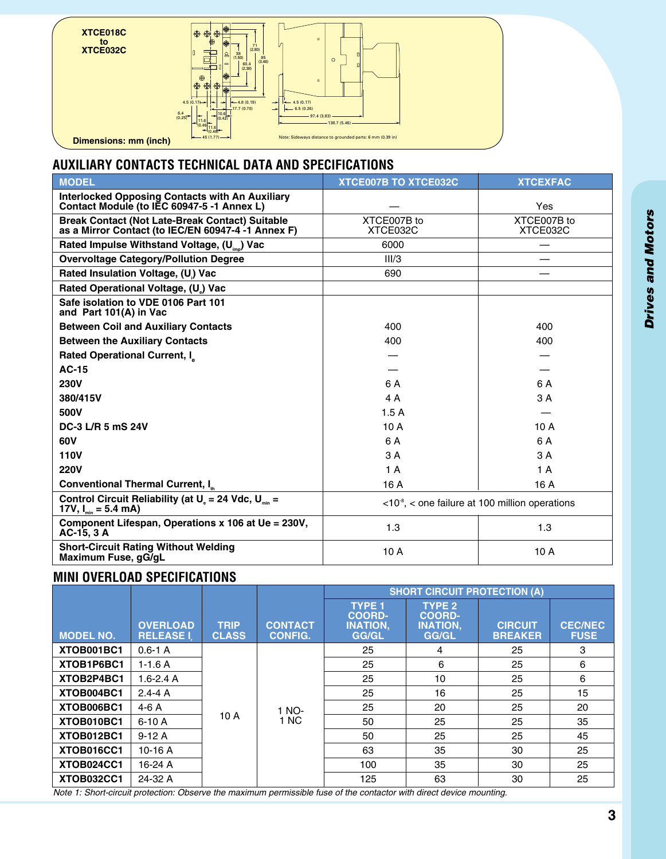

### **Auxiliary Contacts Technical Data and Specifications**

| <b>MODEL</b>                                                                                                | <b>XTCE007B TO XTCE032C</b> | <b>XTCEXFAC</b>                                                          |
|-------------------------------------------------------------------------------------------------------------|-----------------------------|--------------------------------------------------------------------------|
| <b>Interlocked Opposing Contacts with An Auxiliary</b><br>Contact Module (to IEC 60947-5 -1 Annex L)        |                             | Yes                                                                      |
| <b>Break Contact (Not Late-Break Contact) Suitable</b><br>as a Mirror Contact (to IEC/EN 60947-4-1 Annex F) | XTCE007B to<br>XTCE032C     | XTCE007B to<br>XTCE032C                                                  |
| Rated Impulse Withstand Voltage, (U <sub>imp</sub> ) Vac                                                    | 6000                        | —                                                                        |
| <b>Overvoltage Category/Pollution Degree</b>                                                                | III/3                       |                                                                          |
| Rated Insulation Voltage, (U) Vac                                                                           | 690                         |                                                                          |
| Rated Operational Voltage, (U) Vac                                                                          |                             |                                                                          |
| Safe isolation to VDE 0106 Part 101<br>and Part 101(A) in Vac                                               |                             |                                                                          |
| <b>Between Coil and Auxiliary Contacts</b>                                                                  | 400                         | 400                                                                      |
| <b>Between the Auxiliary Contacts</b>                                                                       | 400                         | 400                                                                      |
| <b>Rated Operational Current, I</b>                                                                         |                             |                                                                          |
| <b>AC-15</b>                                                                                                |                             |                                                                          |
| <b>230V</b>                                                                                                 | 6 A                         | 6 A                                                                      |
| 380/415V                                                                                                    | 4 A                         | 3 A                                                                      |
| 500V                                                                                                        | 1.5A                        |                                                                          |
| DC-3 L/R 5 mS 24V                                                                                           | 10A                         | 10A                                                                      |
| 60V                                                                                                         | 6 A                         | 6 A                                                                      |
| <b>110V</b>                                                                                                 | 3A                          | 3 A                                                                      |
| <b>220V</b>                                                                                                 | 1A                          | 1 A                                                                      |
| Conventional Thermal Current, I <sub>th</sub>                                                               | 16 A                        | 16 A                                                                     |
| Control Circuit Reliability (at $U_s = 24$ Vdc, $U_{min} =$<br>17V, $I_{min} = 5.4$ mA)                     |                             | $\langle 10^8 \rangle$ , $\langle$ one failure at 100 million operations |
| Component Lifespan, Operations x 106 at Ue = 230V,<br>AC-15, 3 A                                            | 1.3                         | 1.3                                                                      |
| <b>Short-Circuit Rating Without Welding</b><br>Maximum Fuse, gG/gL                                          | 10 A                        | 10A                                                                      |

#### **Mini Overload Specifications**

|                  |                                     |                             |                                  | <b>SHORT CIRCUIT PROTECTION (A)</b>                        |                                                            |                                  |                               |  |  |
|------------------|-------------------------------------|-----------------------------|----------------------------------|------------------------------------------------------------|------------------------------------------------------------|----------------------------------|-------------------------------|--|--|
| <b>MODEL NO.</b> | <b>OVERLOAD</b><br><b>RELEASE I</b> | <b>TRIP</b><br><b>CLASS</b> | <b>CONTACT</b><br><b>CONFIG.</b> | <b>TYPE 1</b><br><b>COORD-</b><br><b>INATION.</b><br>GG/GL | <b>TYPE 2</b><br><b>COORD-</b><br><b>INATION,</b><br>GG/GL | <b>CIRCUIT</b><br><b>BREAKER</b> | <b>CEC/NEC</b><br><b>FUSE</b> |  |  |
| XTOB001BC1       | $0.6 - 1$ A                         |                             |                                  | 25                                                         | 4                                                          | 25                               | 3                             |  |  |
| XTOB1P6BC1       | $1-1.6A$                            |                             | 1 NO-<br>1 NC                    | 25                                                         | 6                                                          | 25                               | 6                             |  |  |
| XTOB2P4BC1       | $1.6 - 2.4$ A                       | 10A                         |                                  | 25                                                         | 10                                                         | 25                               | 6                             |  |  |
| XTOB004BC1       | $2.4 - 4A$                          |                             |                                  | 25                                                         | 16                                                         | 25                               | 15                            |  |  |
| XTOB006BC1       | $4-6A$                              |                             |                                  | 25                                                         | 20                                                         | 25                               | 20                            |  |  |
| XTOB010BC1       | $6-10A$                             |                             |                                  | 50                                                         | 25                                                         | 25                               | 35                            |  |  |
| XTOB012BC1       | $9-12A$                             |                             |                                  | 50                                                         | 25                                                         | 25                               | 45                            |  |  |
| XTOB016CC1       | $10-16A$                            |                             |                                  | 63                                                         | 35                                                         | 30                               | 25                            |  |  |
| XTOB024CC1       | 16-24 A                             |                             |                                  | 100                                                        | 35                                                         | 30                               | 25                            |  |  |
| XTOB032CC1       | 24-32 A                             |                             |                                  | 125                                                        | 63                                                         | 30                               | 25                            |  |  |

*Note 1: Short-circuit protection: Observe the maximum permissible fuse of the contactor with direct device mounting.*